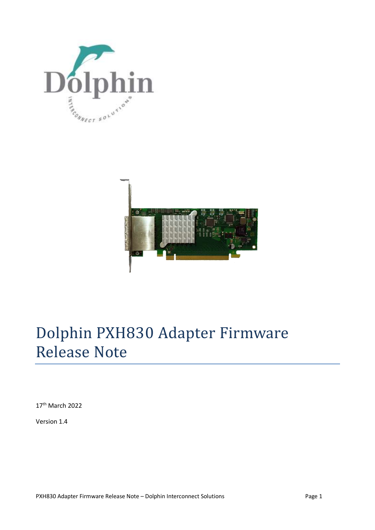



# Dolphin PXH830 Adapter Firmware Release Note

17th March 2022

Version 1.4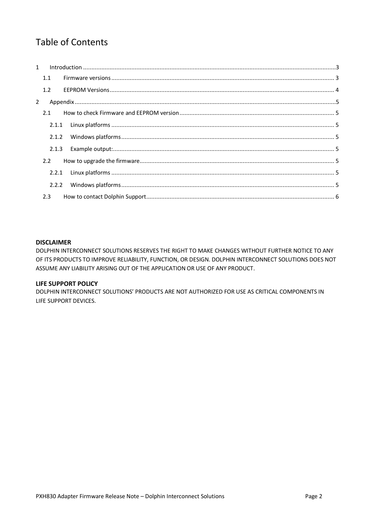## **Table of Contents**

|             | $1 \quad$ |  |  |  |  |
|-------------|-----------|--|--|--|--|
|             | 1.1       |  |  |  |  |
|             | 1.2       |  |  |  |  |
| $2^{\circ}$ |           |  |  |  |  |
|             | 2.1       |  |  |  |  |
|             |           |  |  |  |  |
|             | 2.1.2     |  |  |  |  |
|             | 2.1.3     |  |  |  |  |
|             | 2.2       |  |  |  |  |
|             |           |  |  |  |  |
|             | 2.2.2     |  |  |  |  |
|             | 2.3       |  |  |  |  |

#### **DISCLAIMER**

DOLPHIN INTERCONNECT SOLUTIONS RESERVES THE RIGHT TO MAKE CHANGES WITHOUT FURTHER NOTICE TO ANY OF ITS PRODUCTS TO IMPROVE RELIABILITY, FUNCTION, OR DESIGN. DOLPHIN INTERCONNECT SOLUTIONS DOES NOT ASSUME ANY LIABILITY ARISING OUT OF THE APPLICATION OR USE OF ANY PRODUCT.

#### **LIFE SUPPORT POLICY**

DOLPHIN INTERCONNECT SOLUTIONS' PRODUCTS ARE NOT AUTHORIZED FOR USE AS CRITICAL COMPONENTS IN LIFE SUPPORT DEVICES.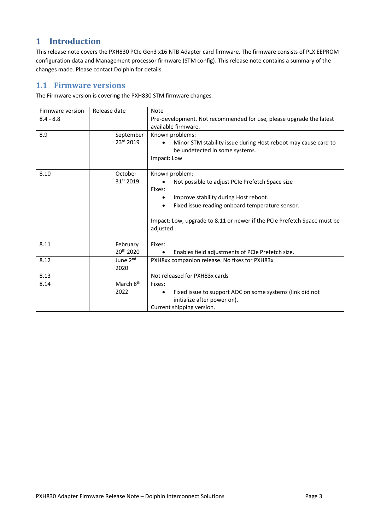## **1 Introduction**

This release note covers the PXH830 PCIe Gen3 x16 NTB Adapter card firmware. The firmware consists of PLX EEPROM configuration data and Management processor firmware (STM config). This release note contains a summary of the changes made. Please contact Dolphin for details.

#### **1.1 Firmware versions**

The Firmware version is covering the PXH830 STM firmware changes.

| Firmware version | Release date          | Note                                                                     |  |  |
|------------------|-----------------------|--------------------------------------------------------------------------|--|--|
| $8.4 - 8.8$      |                       | Pre-development. Not recommended for use, please upgrade the latest      |  |  |
|                  |                       | available firmware.                                                      |  |  |
| 8.9              | September             | Known problems:                                                          |  |  |
|                  | 23rd 2019             | Minor STM stability issue during Host reboot may cause card to           |  |  |
|                  |                       | be undetected in some systems.                                           |  |  |
|                  |                       | Impact: Low                                                              |  |  |
| 8.10             | October               | Known problem:                                                           |  |  |
|                  | 31st 2019             | Not possible to adjust PCIe Prefetch Space size                          |  |  |
|                  |                       | Fixes:                                                                   |  |  |
|                  |                       | Improve stability during Host reboot.                                    |  |  |
|                  |                       | Fixed issue reading onboard temperature sensor.                          |  |  |
|                  |                       |                                                                          |  |  |
|                  |                       | Impact: Low, upgrade to 8.11 or newer if the PCIe Prefetch Space must be |  |  |
|                  |                       | adjusted.                                                                |  |  |
|                  |                       |                                                                          |  |  |
| 8.11             | February              | Fixes:                                                                   |  |  |
|                  | 20 <sup>th</sup> 2020 | Enables field adjustments of PCIe Prefetch size.                         |  |  |
| 8.12             | June 2 <sup>nd</sup>  | PXH8xx companion release. No fixes for PXH83x                            |  |  |
|                  | 2020                  |                                                                          |  |  |
| 8.13             |                       | Not released for PXH83x cards                                            |  |  |
| 8.14             | March 8 <sup>th</sup> | Fixes:                                                                   |  |  |
|                  | 2022                  | Fixed issue to support AOC on some systems (link did not<br>٠            |  |  |
|                  |                       | initialize after power on).                                              |  |  |
|                  |                       | Current shipping version.                                                |  |  |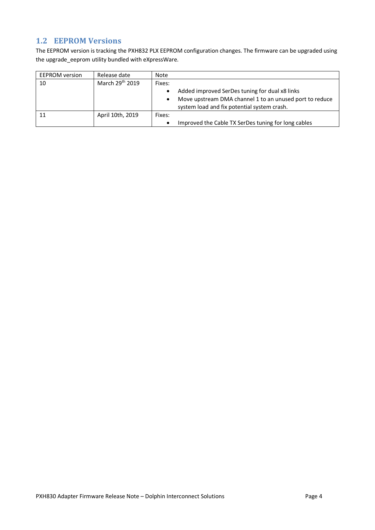## **1.2 EEPROM Versions**

The EEPROM version is tracking the PXH832 PLX EEPROM configuration changes. The firmware can be upgraded using the upgrade\_eeprom utility bundled with eXpressWare.

| <b>EEPROM</b> version | Release date     | Note      |                                                                                                                                                          |
|-----------------------|------------------|-----------|----------------------------------------------------------------------------------------------------------------------------------------------------------|
| 10                    | March 29th 2019  | Fixes:    |                                                                                                                                                          |
|                       |                  | $\bullet$ | Added improved SerDes tuning for dual x8 links<br>Move upstream DMA channel 1 to an unused port to reduce<br>system load and fix potential system crash. |
|                       |                  |           |                                                                                                                                                          |
|                       | April 10th, 2019 | Fixes:    |                                                                                                                                                          |
|                       |                  | $\bullet$ | Improved the Cable TX SerDes tuning for long cables                                                                                                      |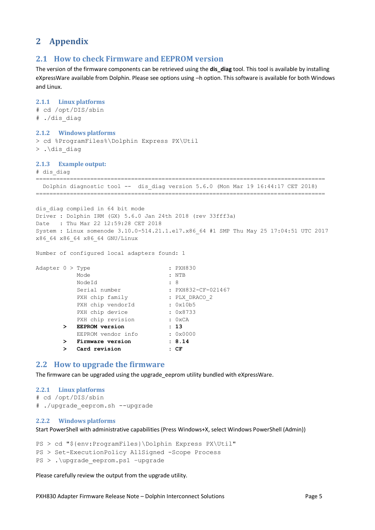## **2 Appendix**

#### **2.1 How to check Firmware and EEPROM version**

The version of the firmware components can be retrieved using the **dis\_diag** tool. This tool is available by installing eXpressWare available from Dolphin. Please see options using –h option. This software is available for both Windows and Linux.

### **2.1.1 Linux platforms** # cd /opt/DIS/sbin # ./dis\_diag **2.1.2 Windows platforms** > cd %ProgramFiles%\Dolphin Express PX\Util > .\dis\_diag **2.1.3 Example output:** # dis\_diag ===================================== Dolphin diagnostic tool -- dis\_diag version 5.6.0 (Mon Mar 19 16:44:17 CET 2018) ===================================================================================== dis diag compiled in 64 bit mode Driver : Dolphin IRM (GX) 5.6.0 Jan 24th 2018 (rev 33fff3a) Date : Thu Mar 22 12:59:28 CET 2018 System : Linux somenode 3.10.0-514.21.1.el7.x86\_64 #1 SMP Thu May 25 17:04:51 UTC 2017 x86\_64 x86\_64 x86\_64 GNU/Linux Number of configured local adapters found: 1 Adapter 0 > Type : PXH830 Mode : NTB NodeId : 8 Serial number : PXH832-CF-021467 PXH chip family : PLX\_DRACO\_2 PXH chip vendorId : 0x10b5 PXH chip device : 0x8733 PXH chip revision : 0xCA  **> EEPROM version : 13** EEPROM vendor info : 0x0000  **> Firmware version : 8.14 > Card revision : CF 2.2 How to upgrade the firmware**

The firmware can be upgraded using the upgrade\_eeprom utility bundled with eXpressWare.

#### **2.2.1 Linux platforms**

```
# cd /opt/DIS/sbin
```
# ./upgrade\_eeprom.sh --upgrade

#### **2.2.2 Windows platforms**

Start PowerShell with administrative capabilities (Press Windows+X, select Windows PowerShell (Admin))

PS > cd "\${env:ProgramFiles}\Dolphin Express PX\Util" PS > Set-ExecutionPolicy AllSigned -Scope Process PS > . \upgrade eeprom.ps1 -upgrade

Please carefully review the output from the upgrade utility.